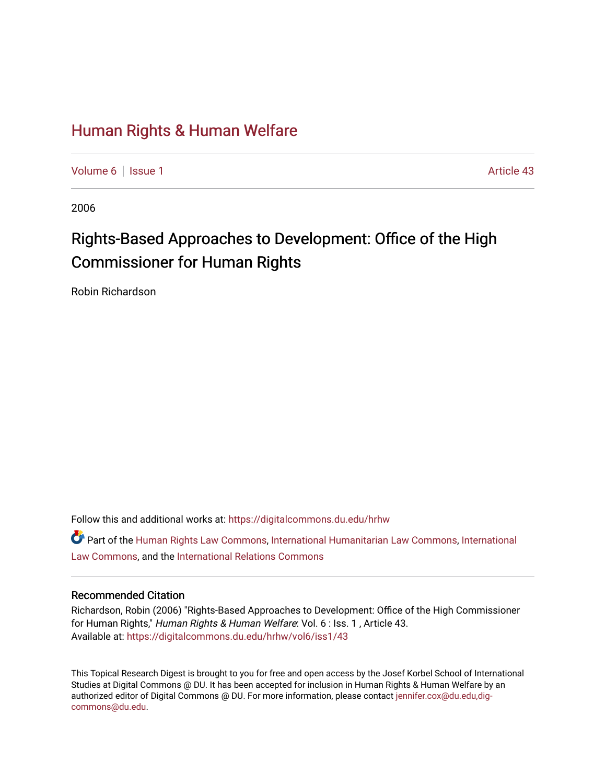# [Human Rights & Human Welfare](https://digitalcommons.du.edu/hrhw)

[Volume 6](https://digitalcommons.du.edu/hrhw/vol6) | [Issue 1](https://digitalcommons.du.edu/hrhw/vol6/iss1) Article 43

2006

# Rights-Based Approaches to Development: Office of the High Commissioner for Human Rights

Robin Richardson

Follow this and additional works at: [https://digitalcommons.du.edu/hrhw](https://digitalcommons.du.edu/hrhw?utm_source=digitalcommons.du.edu%2Fhrhw%2Fvol6%2Fiss1%2F43&utm_medium=PDF&utm_campaign=PDFCoverPages)

Part of the [Human Rights Law Commons,](http://network.bepress.com/hgg/discipline/847?utm_source=digitalcommons.du.edu%2Fhrhw%2Fvol6%2Fiss1%2F43&utm_medium=PDF&utm_campaign=PDFCoverPages) [International Humanitarian Law Commons](http://network.bepress.com/hgg/discipline/1330?utm_source=digitalcommons.du.edu%2Fhrhw%2Fvol6%2Fiss1%2F43&utm_medium=PDF&utm_campaign=PDFCoverPages), [International](http://network.bepress.com/hgg/discipline/609?utm_source=digitalcommons.du.edu%2Fhrhw%2Fvol6%2Fiss1%2F43&utm_medium=PDF&utm_campaign=PDFCoverPages) [Law Commons,](http://network.bepress.com/hgg/discipline/609?utm_source=digitalcommons.du.edu%2Fhrhw%2Fvol6%2Fiss1%2F43&utm_medium=PDF&utm_campaign=PDFCoverPages) and the [International Relations Commons](http://network.bepress.com/hgg/discipline/389?utm_source=digitalcommons.du.edu%2Fhrhw%2Fvol6%2Fiss1%2F43&utm_medium=PDF&utm_campaign=PDFCoverPages)

#### Recommended Citation

Richardson, Robin (2006) "Rights-Based Approaches to Development: Office of the High Commissioner for Human Rights," Human Rights & Human Welfare: Vol. 6 : Iss. 1, Article 43. Available at: [https://digitalcommons.du.edu/hrhw/vol6/iss1/43](https://digitalcommons.du.edu/hrhw/vol6/iss1/43?utm_source=digitalcommons.du.edu%2Fhrhw%2Fvol6%2Fiss1%2F43&utm_medium=PDF&utm_campaign=PDFCoverPages) 

This Topical Research Digest is brought to you for free and open access by the Josef Korbel School of International Studies at Digital Commons @ DU. It has been accepted for inclusion in Human Rights & Human Welfare by an authorized editor of Digital Commons @ DU. For more information, please contact [jennifer.cox@du.edu,dig](mailto:jennifer.cox@du.edu,dig-commons@du.edu)[commons@du.edu.](mailto:jennifer.cox@du.edu,dig-commons@du.edu)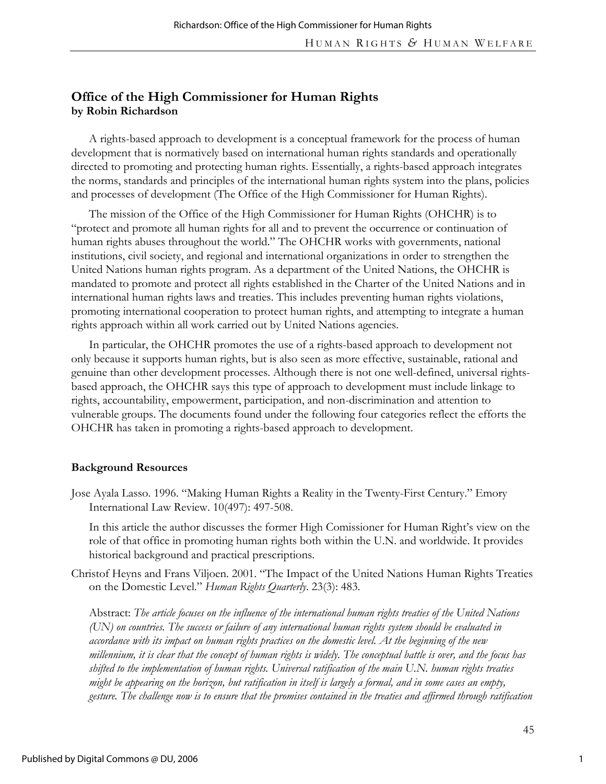# **Office of the High Commissioner for Human Rights by Robin Richardson**

A rights-based approach to development is a conceptual framework for the process of human development that is normatively based on international human rights standards and operationally directed to promoting and protecting human rights. Essentially, a rights-based approach integrates the norms, standards and principles of the international human rights system into the plans, policies and processes of development (The Office of the High Commissioner for Human Rights).

The mission of the Office of the High Commissioner for Human Rights (OHCHR) is to "protect and promote all human rights for all and to prevent the occurrence or continuation of human rights abuses throughout the world." The OHCHR works with governments, national institutions, civil society, and regional and international organizations in order to strengthen the United Nations human rights program. As a department of the United Nations, the OHCHR is mandated to promote and protect all rights established in the Charter of the United Nations and in international human rights laws and treaties. This includes preventing human rights violations, promoting international cooperation to protect human rights, and attempting to integrate a human rights approach within all work carried out by United Nations agencies.

In particular, the OHCHR promotes the use of a rights-based approach to development not only because it supports human rights, but is also seen as more effective, sustainable, rational and genuine than other development processes. Although there is not one well-defined, universal rightsbased approach, the OHCHR says this type of approach to development must include linkage to rights, accountability, empowerment, participation, and non-discrimination and attention to vulnerable groups. The documents found under the following four categories reflect the efforts the OHCHR has taken in promoting a rights-based approach to development.

#### **Background Resources**

Jose Ayala Lasso. 1996. "Making Human Rights a Reality in the Twenty-First Century." Emory International Law Review. 10(497): 497-508.

In this article the author discusses the former High Comissioner for Human Right's view on the role of that office in promoting human rights both within the U.N. and worldwide. It provides historical background and practical prescriptions.

Christof Heyns and Frans Viljoen. 2001. "The Impact of the United Nations Human Rights Treaties on the Domestic Level." *Human Rights Quarterly*. 23(3): 483.

Abstract: *The article focuses on the influence of the international human rights treaties of the United Nations (UN) on countries. The success or failure of any international human rights system should be evaluated in accordance with its impact on human rights practices on the domestic level. At the beginning of the new millennium, it is clear that the concept of human rights is widely. The conceptual battle is over, and the focus has shifted to the implementation of human rights. Universal ratification of the main U.N. human rights treaties might be appearing on the horizon, but ratification in itself is largely a formal, and in some cases an empty, gesture. The challenge now is to ensure that the promises contained in the treaties and affirmed through ratification*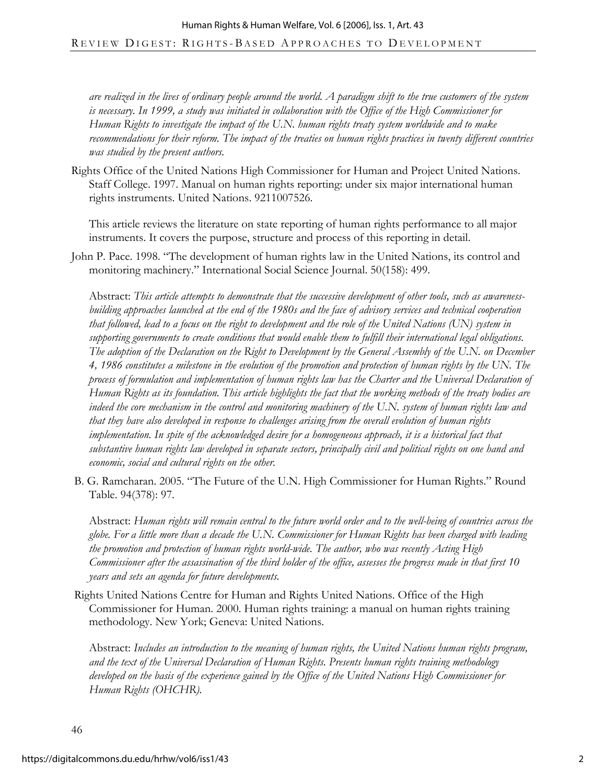*are realized in the lives of ordinary people around the world. A paradigm shift to the true customers of the system is necessary. In 1999, a study was initiated in collaboration with the Office of the High Commissioner for Human Rights to investigate the impact of the U.N. human rights treaty system worldwide and to make recommendations for their reform. The impact of the treaties on human rights practices in twenty different countries was studied by the present authors.* 

Rights Office of the United Nations High Commissioner for Human and Project United Nations. Staff College. 1997. Manual on human rights reporting: under six major international human rights instruments. United Nations. 9211007526.

This article reviews the literature on state reporting of human rights performance to all major instruments. It covers the purpose, structure and process of this reporting in detail.

John P. Pace. 1998. "The development of human rights law in the United Nations, its control and monitoring machinery." International Social Science Journal. 50(158): 499.

Abstract: *This article attempts to demonstrate that the successive development of other tools, such as awarenessbuilding approaches launched at the end of the 1980s and the face of advisory services and technical cooperation that followed, lead to a focus on the right to development and the role of the United Nations (UN) system in supporting governments to create conditions that would enable them to fulfill their international legal obligations. The adoption of the Declaration on the Right to Development by the General Assembly of the U.N. on December 4, 1986 constitutes a milestone in the evolution of the promotion and protection of human rights by the UN. The process of formulation and implementation of human rights law has the Charter and the Universal Declaration of Human Rights as its foundation. This article highlights the fact that the working methods of the treaty bodies are indeed the core mechanism in the control and monitoring machinery of the U.N. system of human rights law and that they have also developed in response to challenges arising from the overall evolution of human rights*  implementation. In spite of the acknowledged desire for a homogeneous approach, it is a historical fact that *substantive human rights law developed in separate sectors, principally civil and political rights on one hand and economic, social and cultural rights on the other.* 

 B. G. Ramcharan. 2005. "The Future of the U.N. High Commissioner for Human Rights." Round Table. 94(378): 97.

Abstract: *Human rights will remain central to the future world order and to the well-being of countries across the globe. For a little more than a decade the U.N. Commissioner for Human Rights has been charged with leading the promotion and protection of human rights world-wide. The author, who was recently Acting High Commissioner after the assassination of the third holder of the office, assesses the progress made in that first 10 years and sets an agenda for future developments.* 

Rights United Nations Centre for Human and Rights United Nations. Office of the High Commissioner for Human. 2000. Human rights training: a manual on human rights training methodology. New York; Geneva: United Nations.

Abstract: *Includes an introduction to the meaning of human rights, the United Nations human rights program, and the text of the Universal Declaration of Human Rights. Presents human rights training methodology developed on the basis of the experience gained by the Office of the United Nations High Commissioner for Human Rights (OHCHR).*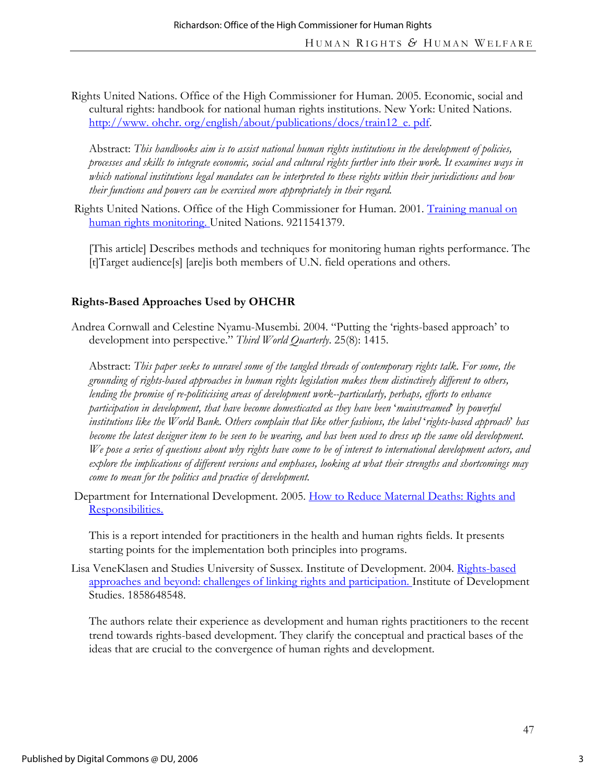Rights United Nations. Office of the High Commissioner for Human. 2005. Economic, social and cultural rights: handbook for national human rights institutions. New York: United Nations. http://www.ohchr.org/english/about/publications/docs/train12\_e.pdf.

Abstract: *This handbooks aim is to assist national human rights institutions in the development of policies, processes and skills to integrate economic, social and cultural rights further into their work. It examines ways in which national institutions legal mandates can be interpreted to these rights within their jurisdictions and how their functions and powers can be exercised more appropriately in their regard.* 

Rights United Nations. Office of the High Commissioner for Human. 2001. Training manual on human rights monitoring. United Nations. 9211541379.

[This article] Describes methods and techniques for monitoring human rights performance. The [t]Target audience[s] [are]is both members of U.N. field operations and others.

# **Rights-Based Approaches Used by OHCHR**

Andrea Cornwall and Celestine Nyamu-Musembi. 2004. "Putting the 'rights-based approach' to development into perspective." *Third World Quarterly*. 25(8): 1415.

Abstract: *This paper seeks to unravel some of the tangled threads of contemporary rights talk. For some, the grounding of rights-based approaches in human rights legislation makes them distinctively different to others, lending the promise of re-politicising areas of development work--particularly, perhaps, efforts to enhance participation in development, that have become domesticated as they have been* '*mainstreamed*' *by powerful institutions like the World Bank. Others complain that like other fashions, the label* '*rights-based approach*' *has*  become the latest designer item to be seen to be wearing, and has been used to dress up the same old development. *We pose a series of questions about why rights have come to be of interest to international development actors, and explore the implications of different versions and emphases, looking at what their strengths and shortcomings may come to mean for the politics and practice of development.* 

Department for International Development. 2005. How to Reduce Maternal Deaths: Rights and Responsibilities.

This is a report intended for practitioners in the health and human rights fields. It presents starting points for the implementation both principles into programs.

Lisa VeneKlasen and Studies University of Sussex. Institute of Development. 2004. Rights-based approaches and beyond: challenges of linking rights and participation. Institute of Development Studies. 1858648548.

The authors relate their experience as development and human rights practitioners to the recent trend towards rights-based development. They clarify the conceptual and practical bases of the ideas that are crucial to the convergence of human rights and development.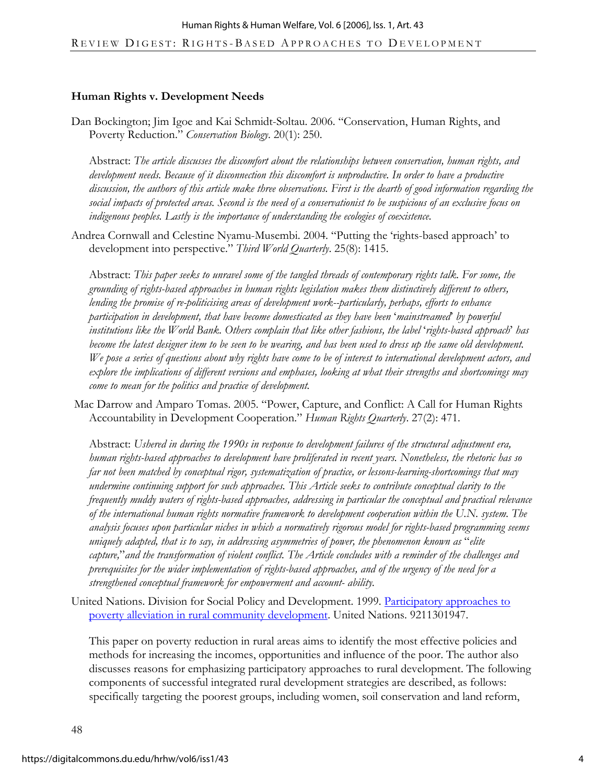#### **Human Rights v. Development Needs**

Dan Bockington; Jim Igoe and Kai Schmidt-Soltau. 2006. "Conservation, Human Rights, and Poverty Reduction." *Conservation Biology*. 20(1): 250.

Abstract: *The article discusses the discomfort about the relationships between conservation, human rights, and development needs. Because of it disconnection this discomfort is unproductive. In order to have a productive discussion, the authors of this article make three observations. First is the dearth of good information regarding the social impacts of protected areas. Second is the need of a conservationist to be suspicious of an exclusive focus on indigenous peoples. Lastly is the importance of understanding the ecologies of coexistence.* 

Andrea Cornwall and Celestine Nyamu-Musembi. 2004. "Putting the 'rights-based approach' to development into perspective." *Third World Quarterly*. 25(8): 1415.

Abstract: *This paper seeks to unravel some of the tangled threads of contemporary rights talk. For some, the grounding of rights-based approaches in human rights legislation makes them distinctively different to others, lending the promise of re-politicising areas of development work--particularly, perhaps, efforts to enhance participation in development, that have become domesticated as they have been* '*mainstreamed*' *by powerful institutions like the World Bank. Others complain that like other fashions, the label* '*rights-based approach*' *has become the latest designer item to be seen to be wearing, and has been used to dress up the same old development. We pose a series of questions about why rights have come to be of interest to international development actors, and explore the implications of different versions and emphases, looking at what their strengths and shortcomings may come to mean for the politics and practice of development.* 

Mac Darrow and Amparo Tomas. 2005. "Power, Capture, and Conflict: A Call for Human Rights Accountability in Development Cooperation." *Human Rights Quarterly*. 27(2): 471.

Abstract: *Ushered in during the 1990s in response to development failures of the structural adjustment era, human rights-based approaches to development have proliferated in recent years. Nonetheless, the rhetoric has so far not been matched by conceptual rigor, systematization of practice, or lessons-learning-shortcomings that may undermine continuing support for such approaches. This Article seeks to contribute conceptual clarity to the frequently muddy waters of rights-based approaches, addressing in particular the conceptual and practical relevance of the international human rights normative framework to development cooperation within the U.N. system. The analysis focuses upon particular niches in which a normatively rigorous model for rights-based programming seems uniquely adapted, that is to say, in addressing asymmetries of power, the phenomenon known as* "*elite capture,*"*and the transformation of violent conflict. The Article concludes with a reminder of the challenges and prerequisites for the wider implementation of rights-based approaches, and of the urgency of the need for a strengthened conceptual framework for empowerment and account- ability.* 

United Nations. Division for Social Policy and Development. 1999. Participatory approaches to poverty alleviation in rural community development. United Nations. 9211301947.

This paper on poverty reduction in rural areas aims to identify the most effective policies and methods for increasing the incomes, opportunities and influence of the poor. The author also discusses reasons for emphasizing participatory approaches to rural development. The following components of successful integrated rural development strategies are described, as follows: specifically targeting the poorest groups, including women, soil conservation and land reform,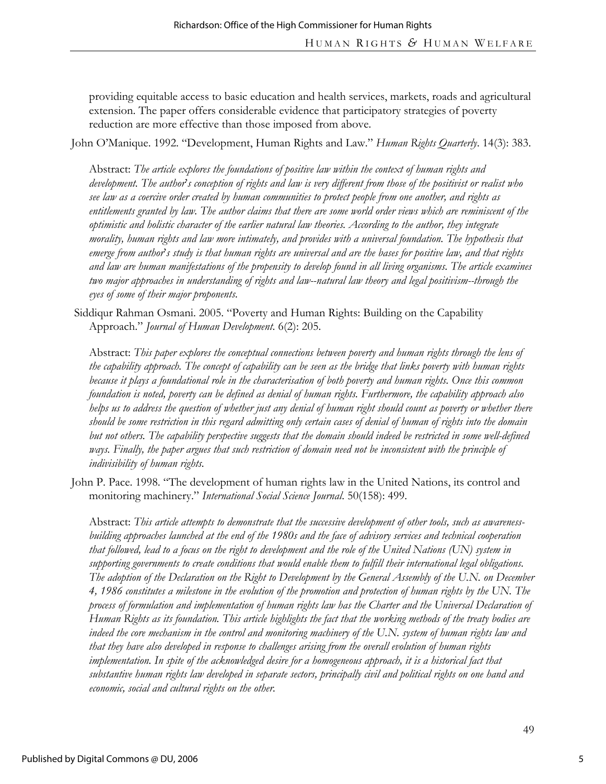providing equitable access to basic education and health services, markets, roads and agricultural extension. The paper offers considerable evidence that participatory strategies of poverty reduction are more effective than those imposed from above.

John O'Manique. 1992. "Development, Human Rights and Law." *Human Rights Quarterly*. 14(3): 383.

Abstract: *The article explores the foundations of positive law within the context of human rights and development. The author*'*s conception of rights and law is very different from those of the positivist or realist who see law as a coercive order created by human communities to protect people from one another, and rights as entitlements granted by law. The author claims that there are some world order views which are reminiscent of the optimistic and holistic character of the earlier natural law theories. According to the author, they integrate morality, human rights and law more intimately, and provides with a universal foundation. The hypothesis that emerge from author*'*s study is that human rights are universal and are the bases for positive law, and that rights and law are human manifestations of the propensity to develop found in all living organisms. The article examines two major approaches in understanding of rights and law--natural law theory and legal positivism--through the eyes of some of their major proponents.* 

Siddiqur Rahman Osmani. 2005. "Poverty and Human Rights: Building on the Capability Approach." *Journal of Human Development*. 6(2): 205.

Abstract: *This paper explores the conceptual connections between poverty and human rights through the lens of the capability approach. The concept of capability can be seen as the bridge that links poverty with human rights because it plays a foundational role in the characterisation of both poverty and human rights. Once this common foundation is noted, poverty can be defined as denial of human rights. Furthermore, the capability approach also helps us to address the question of whether just any denial of human right should count as poverty or whether there should be some restriction in this regard admitting only certain cases of denial of human of rights into the domain*  but not others. The capability perspective suggests that the domain should indeed be restricted in some well-defined ways. Finally, the paper argues that such restriction of domain need not be inconsistent with the principle of *indivisibility of human rights.* 

John P. Pace. 1998. "The development of human rights law in the United Nations, its control and monitoring machinery." *International Social Science Journal*. 50(158): 499.

Abstract: *This article attempts to demonstrate that the successive development of other tools, such as awarenessbuilding approaches launched at the end of the 1980s and the face of advisory services and technical cooperation that followed, lead to a focus on the right to development and the role of the United Nations (UN) system in supporting governments to create conditions that would enable them to fulfill their international legal obligations. The adoption of the Declaration on the Right to Development by the General Assembly of the U.N. on December 4, 1986 constitutes a milestone in the evolution of the promotion and protection of human rights by the UN. The process of formulation and implementation of human rights law has the Charter and the Universal Declaration of Human Rights as its foundation. This article highlights the fact that the working methods of the treaty bodies are indeed the core mechanism in the control and monitoring machinery of the U.N. system of human rights law and that they have also developed in response to challenges arising from the overall evolution of human rights implementation. In spite of the acknowledged desire for a homogeneous approach, it is a historical fact that substantive human rights law developed in separate sectors, principally civil and political rights on one hand and economic, social and cultural rights on the other.*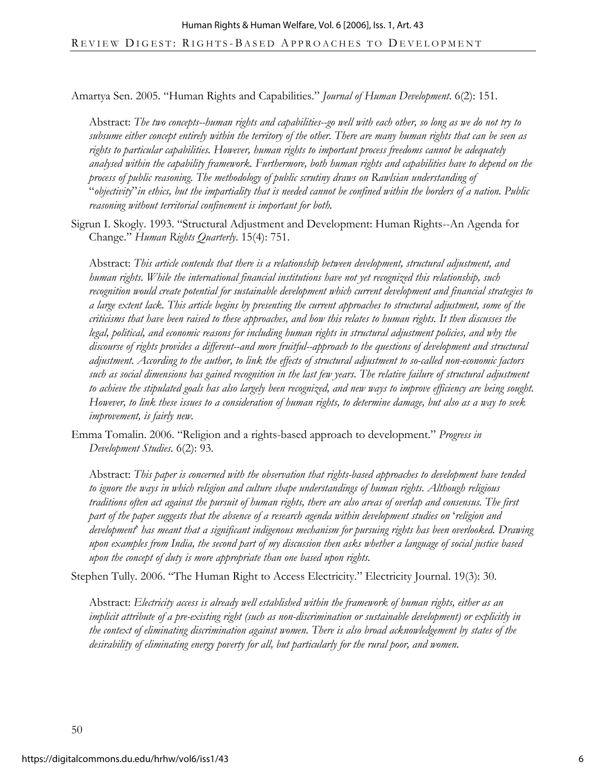Amartya Sen. 2005. "Human Rights and Capabilities." *Journal of Human Development*. 6(2): 151.

Abstract: *The two concepts--human rights and capabilities--go well with each other, so long as we do not try to subsume either concept entirely within the territory of the other. There are many human rights that can be seen as rights to particular capabilities. However, human rights to important process freedoms cannot be adequately analysed within the capability framework. Furthermore, both human rights and capabilities have to depend on the process of public reasoning. The methodology of public scrutiny draws on Rawlsian understanding of*  "*objectivity*"*in ethics, but the impartiality that is needed cannot be confined within the borders of a nation. Public reasoning without territorial confinement is important for both.* 

Sigrun I. Skogly. 1993. "Structural Adjustment and Development: Human Rights--An Agenda for Change." *Human Rights Quarterly*. 15(4): 751.

Abstract: *This article contends that there is a relationship between development, structural adjustment, and human rights. While the international financial institutions have not yet recognized this relationship, such recognition would create potential for sustainable development which current development and financial strategies to a large extent lack. This article begins by presenting the current approaches to structural adjustment, some of the criticisms that have been raised to these approaches, and how this relates to human rights. It then discusses the legal, political, and economic reasons for including human rights in structural adjustment policies, and why the discourse of rights provides a different--and more fruitful--approach to the questions of development and structural adjustment. According to the author, to link the effects of structural adjustment to so-called non-economic factors such as social dimensions has gained recognition in the last few years. The relative failure of structural adjustment to achieve the stipulated goals has also largely been recognized, and new ways to improve efficiency are being sought. However, to link these issues to a consideration of human rights, to determine damage, but also as a way to seek improvement, is fairly new.* 

Emma Tomalin. 2006. "Religion and a rights-based approach to development." *Progress in Development Studies*. 6(2): 93.

Abstract: *This paper is concerned with the observation that rights-based approaches to development have tended to ignore the ways in which religion and culture shape understandings of human rights. Although religious traditions often act against the pursuit of human rights, there are also areas of overlap and consensus. The first part of the paper suggests that the absence of a research agenda within development studies on* '*religion and development*' *has meant that a significant indigenous mechanism for pursuing rights has been overlooked. Drawing upon examples from India, the second part of my discussion then asks whether a language of social justice based upon the concept of duty is more appropriate than one based upon rights.* 

Stephen Tully. 2006. "The Human Right to Access Electricity." Electricity Journal. 19(3): 30.

Abstract: *Electricity access is already well established within the framework of human rights, either as an implicit attribute of a pre-existing right (such as non-discrimination or sustainable development) or explicitly in the context of eliminating discrimination against women. There is also broad acknowledgement by states of the desirability of eliminating energy poverty for all, but particularly for the rural poor, and women.*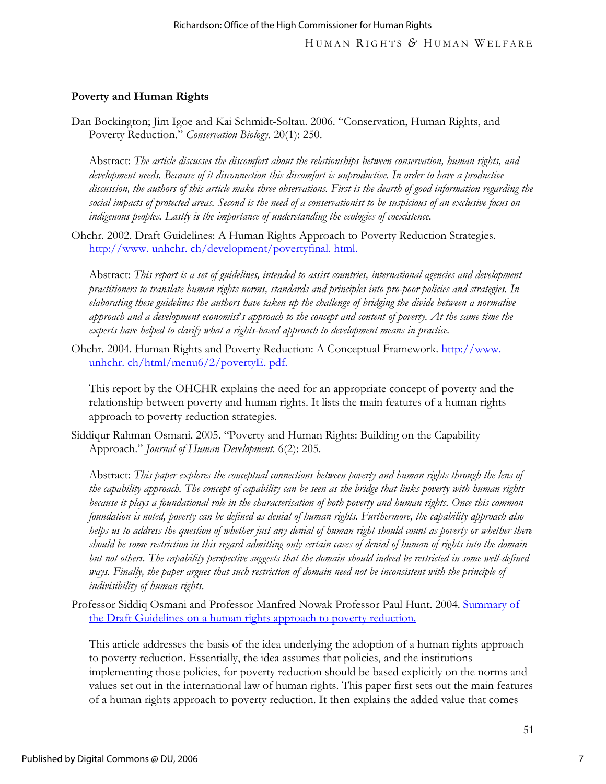### **Poverty and Human Rights**

Dan Bockington; Jim Igoe and Kai Schmidt-Soltau. 2006. "Conservation, Human Rights, and Poverty Reduction." *Conservation Biology*. 20(1): 250.

Abstract: *The article discusses the discomfort about the relationships between conservation, human rights, and development needs. Because of it disconnection this discomfort is unproductive. In order to have a productive discussion, the authors of this article make three observations. First is the dearth of good information regarding the social impacts of protected areas. Second is the need of a conservationist to be suspicious of an exclusive focus on indigenous peoples. Lastly is the importance of understanding the ecologies of coexistence.* 

Ohchr. 2002. Draft Guidelines: A Human Rights Approach to Poverty Reduction Strategies. http://www. unhchr. ch/development/povertyfinal. html.

Abstract: *This report is a set of guidelines, intended to assist countries, international agencies and development practitioners to translate human rights norms, standards and principles into pro-poor policies and strategies. In elaborating these guidelines the authors have taken up the challenge of bridging the divide between a normative approach and a development economist*'*s approach to the concept and content of poverty. At the same time the experts have helped to clarify what a rights-based approach to development means in practice.* 

Ohchr. 2004. Human Rights and Poverty Reduction: A Conceptual Framework. http://www. unhchr. ch/html/menu6/2/povertyE. pdf.

This report by the OHCHR explains the need for an appropriate concept of poverty and the relationship between poverty and human rights. It lists the main features of a human rights approach to poverty reduction strategies.

Siddiqur Rahman Osmani. 2005. "Poverty and Human Rights: Building on the Capability Approach." *Journal of Human Development*. 6(2): 205.

Abstract: *This paper explores the conceptual connections between poverty and human rights through the lens of the capability approach. The concept of capability can be seen as the bridge that links poverty with human rights because it plays a foundational role in the characterisation of both poverty and human rights. Once this common foundation is noted, poverty can be defined as denial of human rights. Furthermore, the capability approach also helps us to address the question of whether just any denial of human right should count as poverty or whether there should be some restriction in this regard admitting only certain cases of denial of human of rights into the domain but not others. The capability perspective suggests that the domain should indeed be restricted in some well-defined* ways. Finally, the paper argues that such restriction of domain need not be inconsistent with the principle of *indivisibility of human rights.* 

Professor Siddiq Osmani and Professor Manfred Nowak Professor Paul Hunt. 2004. Summary of the Draft Guidelines on a human rights approach to poverty reduction.

This article addresses the basis of the idea underlying the adoption of a human rights approach to poverty reduction. Essentially, the idea assumes that policies, and the institutions implementing those policies, for poverty reduction should be based explicitly on the norms and values set out in the international law of human rights. This paper first sets out the main features of a human rights approach to poverty reduction. It then explains the added value that comes

7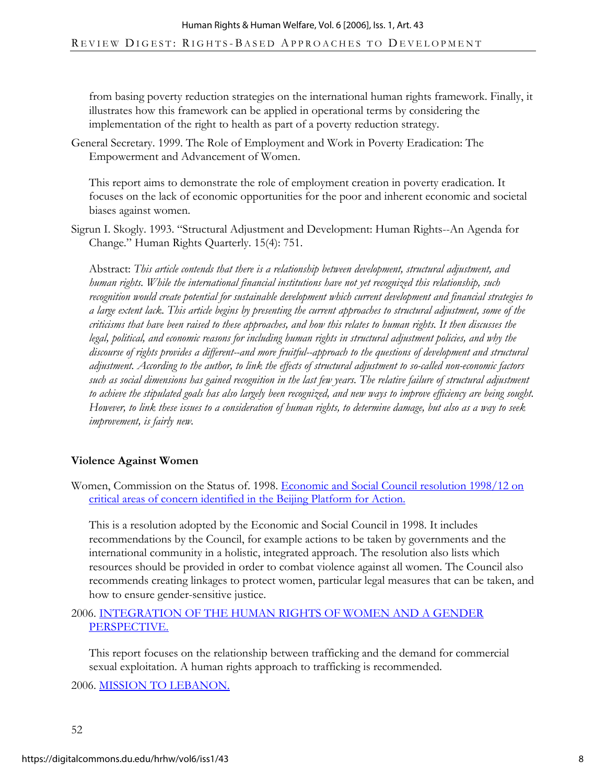from basing poverty reduction strategies on the international human rights framework. Finally, it illustrates how this framework can be applied in operational terms by considering the implementation of the right to health as part of a poverty reduction strategy.

General Secretary. 1999. The Role of Employment and Work in Poverty Eradication: The Empowerment and Advancement of Women.

This report aims to demonstrate the role of employment creation in poverty eradication. It focuses on the lack of economic opportunities for the poor and inherent economic and societal biases against women.

Sigrun I. Skogly. 1993. "Structural Adjustment and Development: Human Rights--An Agenda for Change." Human Rights Quarterly. 15(4): 751.

Abstract: *This article contends that there is a relationship between development, structural adjustment, and human rights. While the international financial institutions have not yet recognized this relationship, such recognition would create potential for sustainable development which current development and financial strategies to a large extent lack. This article begins by presenting the current approaches to structural adjustment, some of the criticisms that have been raised to these approaches, and how this relates to human rights. It then discusses the legal, political, and economic reasons for including human rights in structural adjustment policies, and why the discourse of rights provides a different--and more fruitful--approach to the questions of development and structural adjustment. According to the author, to link the effects of structural adjustment to so-called non-economic factors such as social dimensions has gained recognition in the last few years. The relative failure of structural adjustment to achieve the stipulated goals has also largely been recognized, and new ways to improve efficiency are being sought. However, to link these issues to a consideration of human rights, to determine damage, but also as a way to seek improvement, is fairly new.* 

# **Violence Against Women**

Women, Commission on the Status of. 1998. Economic and Social Council resolution 1998/12 on critical areas of concern identified in the Beijing Platform for Action.

This is a resolution adopted by the Economic and Social Council in 1998. It includes recommendations by the Council, for example actions to be taken by governments and the international community in a holistic, integrated approach. The resolution also lists which resources should be provided in order to combat violence against all women. The Council also recommends creating linkages to protect women, particular legal measures that can be taken, and how to ensure gender-sensitive justice.

### 2006. INTEGRATION OF THE HUMAN RIGHTS OF WOMEN AND A GENDER PERSPECTIVE.

This report focuses on the relationship between trafficking and the demand for commercial sexual exploitation. A human rights approach to trafficking is recommended.

2006. MISSION TO LEBANON.